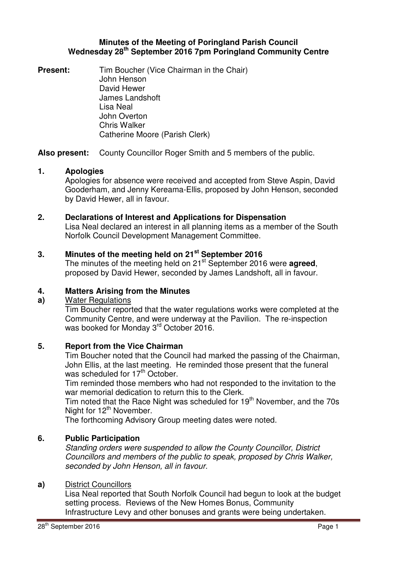# **Minutes of the Meeting of Poringland Parish Council Wednesday 28th September 2016 7pm Poringland Community Centre**

**Present:** Tim Boucher (Vice Chairman in the Chair) John Henson David Hewer James Landshoft Lisa Neal John Overton Chris Walker Catherine Moore (Parish Clerk)

**Also present:** County Councillor Roger Smith and 5 members of the public.

# **1. Apologies**

Apologies for absence were received and accepted from Steve Aspin, David Gooderham, and Jenny Kereama-Ellis, proposed by John Henson, seconded by David Hewer, all in favour.

# **2. Declarations of Interest and Applications for Dispensation**

Lisa Neal declared an interest in all planning items as a member of the South Norfolk Council Development Management Committee.

# **3. Minutes of the meeting held on 21st September 2016**

The minutes of the meeting held on 21<sup>st</sup> September 2016 were **agreed**, proposed by David Hewer, seconded by James Landshoft, all in favour.

# **4. Matters Arising from the Minutes**

### **a)** Water Regulations

Tim Boucher reported that the water regulations works were completed at the Community Centre, and were underway at the Pavilion. The re-inspection was booked for Monday 3<sup>rd</sup> October 2016.

### **5. Report from the Vice Chairman**

Tim Boucher noted that the Council had marked the passing of the Chairman, John Ellis, at the last meeting. He reminded those present that the funeral was scheduled for 17<sup>th</sup> October.

Tim reminded those members who had not responded to the invitation to the war memorial dedication to return this to the Clerk.

Tim noted that the Race Night was scheduled for  $19<sup>th</sup>$  November, and the 70s Night for 12<sup>th</sup> November.

The forthcoming Advisory Group meeting dates were noted.

### **6. Public Participation**

Standing orders were suspended to allow the County Councillor, District Councillors and members of the public to speak, proposed by Chris Walker, seconded by John Henson, all in favour.

### **a)** District Councillors

Lisa Neal reported that South Norfolk Council had begun to look at the budget setting process. Reviews of the New Homes Bonus, Community Infrastructure Levy and other bonuses and grants were being undertaken.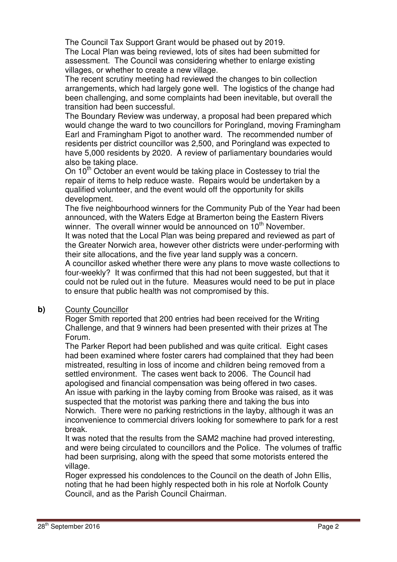The Council Tax Support Grant would be phased out by 2019.

The Local Plan was being reviewed, lots of sites had been submitted for assessment. The Council was considering whether to enlarge existing villages, or whether to create a new village.

The recent scrutiny meeting had reviewed the changes to bin collection arrangements, which had largely gone well. The logistics of the change had been challenging, and some complaints had been inevitable, but overall the transition had been successful.

The Boundary Review was underway, a proposal had been prepared which would change the ward to two councillors for Poringland, moving Framingham Earl and Framingham Pigot to another ward. The recommended number of residents per district councillor was 2,500, and Poringland was expected to have 5,000 residents by 2020. A review of parliamentary boundaries would also be taking place.

On  $10<sup>th</sup>$  October an event would be taking place in Costessey to trial the repair of items to help reduce waste. Repairs would be undertaken by a qualified volunteer, and the event would off the opportunity for skills development.

The five neighbourhood winners for the Community Pub of the Year had been announced, with the Waters Edge at Bramerton being the Eastern Rivers winner. The overall winner would be announced on 10<sup>th</sup> November.

It was noted that the Local Plan was being prepared and reviewed as part of the Greater Norwich area, however other districts were under-performing with their site allocations, and the five year land supply was a concern.

A councillor asked whether there were any plans to move waste collections to four-weekly? It was confirmed that this had not been suggested, but that it could not be ruled out in the future. Measures would need to be put in place to ensure that public health was not compromised by this.

# **b)** County Councillor

Roger Smith reported that 200 entries had been received for the Writing Challenge, and that 9 winners had been presented with their prizes at The Forum.

The Parker Report had been published and was quite critical. Eight cases had been examined where foster carers had complained that they had been mistreated, resulting in loss of income and children being removed from a settled environment. The cases went back to 2006. The Council had apologised and financial compensation was being offered in two cases. An issue with parking in the layby coming from Brooke was raised, as it was suspected that the motorist was parking there and taking the bus into Norwich. There were no parking restrictions in the layby, although it was an inconvenience to commercial drivers looking for somewhere to park for a rest break.

It was noted that the results from the SAM2 machine had proved interesting, and were being circulated to councillors and the Police. The volumes of traffic had been surprising, along with the speed that some motorists entered the village.

Roger expressed his condolences to the Council on the death of John Ellis, noting that he had been highly respected both in his role at Norfolk County Council, and as the Parish Council Chairman.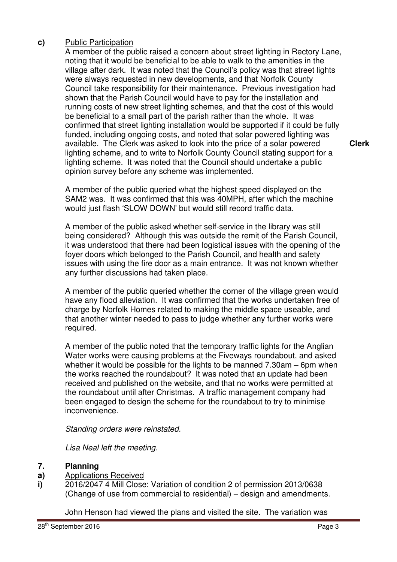# **c)** Public Participation

A member of the public raised a concern about street lighting in Rectory Lane, noting that it would be beneficial to be able to walk to the amenities in the village after dark. It was noted that the Council's policy was that street lights were always requested in new developments, and that Norfolk County Council take responsibility for their maintenance. Previous investigation had shown that the Parish Council would have to pay for the installation and running costs of new street lighting schemes, and that the cost of this would be beneficial to a small part of the parish rather than the whole. It was confirmed that street lighting installation would be supported if it could be fully funded, including ongoing costs, and noted that solar powered lighting was available. The Clerk was asked to look into the price of a solar powered lighting scheme, and to write to Norfolk County Council stating support for a lighting scheme. It was noted that the Council should undertake a public opinion survey before any scheme was implemented.

**Clerk**

A member of the public queried what the highest speed displayed on the SAM2 was. It was confirmed that this was 40MPH, after which the machine would just flash 'SLOW DOWN' but would still record traffic data.

A member of the public asked whether self-service in the library was still being considered? Although this was outside the remit of the Parish Council, it was understood that there had been logistical issues with the opening of the foyer doors which belonged to the Parish Council, and health and safety issues with using the fire door as a main entrance. It was not known whether any further discussions had taken place.

A member of the public queried whether the corner of the village green would have any flood alleviation. It was confirmed that the works undertaken free of charge by Norfolk Homes related to making the middle space useable, and that another winter needed to pass to judge whether any further works were required.

A member of the public noted that the temporary traffic lights for the Anglian Water works were causing problems at the Fiveways roundabout, and asked whether it would be possible for the lights to be manned 7.30am – 6pm when the works reached the roundabout? It was noted that an update had been received and published on the website, and that no works were permitted at the roundabout until after Christmas. A traffic management company had been engaged to design the scheme for the roundabout to try to minimise inconvenience.

Standing orders were reinstated.

Lisa Neal left the meeting.

#### **7. Planning**

- **a)**  Applications Received
- **i)**  2016/2047 4 Mill Close: Variation of condition 2 of permission 2013/0638 (Change of use from commercial to residential) – design and amendments.

John Henson had viewed the plans and visited the site. The variation was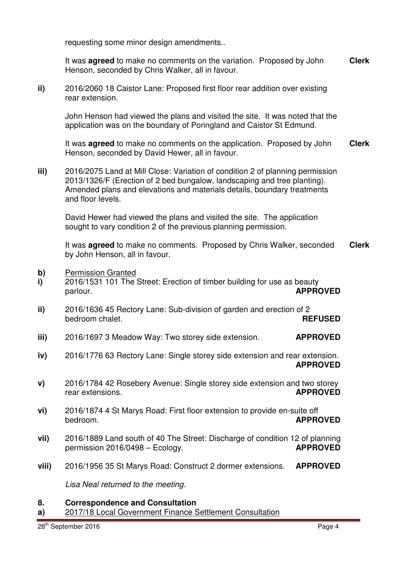requesting some minor design amendments..

It was **agreed** to make no comments on the variation. Proposed by John Henson, seconded by Chris Walker, all in favour. **Clerk**

**ii)** 2016/2060 18 Caistor Lane: Proposed first floor rear addition over existing rear extension.

John Henson had viewed the plans and visited the site. It was noted that the application was on the boundary of Poringland and Caistor St Edmund.

It was **agreed** to make no comments on the application. Proposed by John Henson, seconded by David Hewer, all in favour. **Clerk**

**iii)** 2016/2075 Land at Mill Close: Variation of condition 2 of planning permission 2013/1326/F (Erection of 2 bed bungalow, landscaping and tree planting). Amended plans and elevations and materials details, boundary treatments and floor levels.

David Hewer had viewed the plans and visited the site. The application sought to vary condition 2 of the previous planning permission.

It was **agreed** to make no comments. Proposed by Chris Walker, seconded by John Henson, all in favour. **Clerk**

- **b)** Permission Granted
- **i)**  2016/1531 101 The Street: Erection of timber building for use as beauty parlour. **APPROVED**
- **ii)**  2016/1636 45 Rectory Lane: Sub-division of garden and erection of 2 bedroom chalet. **REFUSED**
- **iii)**  2016/1697 3 Meadow Way: Two storey side extension. **APPROVED**
- **iv)**  2016/1776 63 Rectory Lane: Single storey side extension and rear extension. **APPROVED**
- **v)**  2016/1784 42 Rosebery Avenue: Single storey side extension and two storey rear extensions. **APPROVED**
- **vi)**  2016/1874 4 St Marys Road: First floor extension to provide en-suite off bedroom. **APPROVED**
- **vii)**  2016/1889 Land south of 40 The Street: Discharge of condition 12 of planning permission 2016/0498 – Ecology. **APPROVED**
- **viii)**  2016/1956 35 St Marys Road: Construct 2 dormer extensions. **APPROVED**

Lisa Neal returned to the meeting.

#### **8. Correspondence and Consultation**

**a)**  2017/18 Local Government Finance Settlement Consultation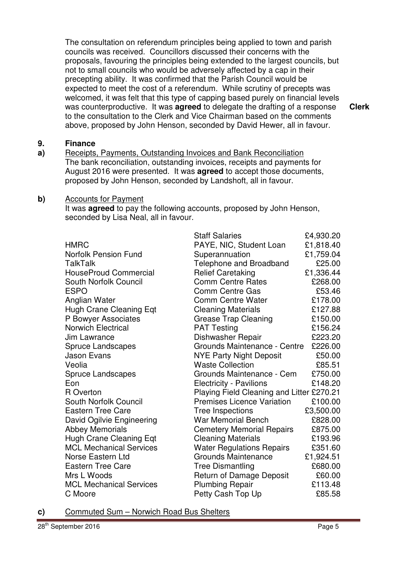The consultation on referendum principles being applied to town and parish councils was received. Councillors discussed their concerns with the proposals, favouring the principles being extended to the largest councils, but not to small councils who would be adversely affected by a cap in their precepting ability. It was confirmed that the Parish Council would be expected to meet the cost of a referendum. While scrutiny of precepts was welcomed, it was felt that this type of capping based purely on financial levels was counterproductive. It was **agreed** to delegate the drafting of a response to the consultation to the Clerk and Vice Chairman based on the comments above, proposed by John Henson, seconded by David Hewer, all in favour.

**Clerk**

#### **9. Finance**

**a)**  Receipts, Payments, Outstanding Invoices and Bank Reconciliation The bank reconciliation, outstanding invoices, receipts and payments for August 2016 were presented. It was **agreed** to accept those documents, proposed by John Henson, seconded by Landshoft, all in favour.

#### **b)** Accounts for Payment

It was **agreed** to pay the following accounts, proposed by John Henson, seconded by Lisa Neal, all in favour.

|                                | <b>Staff Salaries</b>                     | £4,930.20 |
|--------------------------------|-------------------------------------------|-----------|
| <b>HMRC</b>                    | PAYE, NIC, Student Loan                   | £1,818.40 |
| <b>Norfolk Pension Fund</b>    | Superannuation                            | £1,759.04 |
| TalkTalk                       | Telephone and Broadband                   | £25.00    |
| <b>HouseProud Commercial</b>   | <b>Relief Caretaking</b>                  | £1,336.44 |
| South Norfolk Council          | <b>Comm Centre Rates</b>                  | £268.00   |
| <b>ESPO</b>                    | <b>Comm Centre Gas</b>                    | £53.46    |
| Anglian Water                  | <b>Comm Centre Water</b>                  | £178.00   |
| Hugh Crane Cleaning Eqt        | <b>Cleaning Materials</b>                 | £127.88   |
| P Bowyer Associates            | <b>Grease Trap Cleaning</b>               | £150.00   |
| <b>Norwich Electrical</b>      | <b>PAT Testing</b>                        | £156.24   |
| Jim Lawrance                   | Dishwasher Repair                         | £223.20   |
| <b>Spruce Landscapes</b>       | Grounds Maintenance - Centre              | £226.00   |
| <b>Jason Evans</b>             | <b>NYE Party Night Deposit</b>            | £50.00    |
| Veolia                         | <b>Waste Collection</b>                   | £85.51    |
| <b>Spruce Landscapes</b>       | Grounds Maintenance - Cem                 | £750.00   |
| Eon                            | <b>Electricity - Pavilions</b>            | £148.20   |
| R Overton                      | Playing Field Cleaning and Litter £270.21 |           |
| South Norfolk Council          | <b>Premises Licence Variation</b>         | £100.00   |
| <b>Eastern Tree Care</b>       | Tree Inspections                          | £3,500.00 |
| David Ogilvie Engineering      | War Memorial Bench                        | £828.00   |
| <b>Abbey Memorials</b>         | <b>Cemetery Memorial Repairs</b>          | £875.00   |
| <b>Hugh Crane Cleaning Eqt</b> | <b>Cleaning Materials</b>                 | £193.96   |
| <b>MCL Mechanical Services</b> | <b>Water Regulations Repairs</b>          | £351.60   |
| Norse Eastern Ltd              | <b>Grounds Maintenance</b>                | £1,924.51 |
| <b>Eastern Tree Care</b>       | <b>Tree Dismantling</b>                   | £680.00   |
| Mrs L Woods                    | Return of Damage Deposit                  | £60.00    |
| <b>MCL Mechanical Services</b> | <b>Plumbing Repair</b>                    | £113.48   |
| C Moore                        | Petty Cash Top Up                         | £85.58    |

**c)** Commuted Sum – Norwich Road Bus Shelters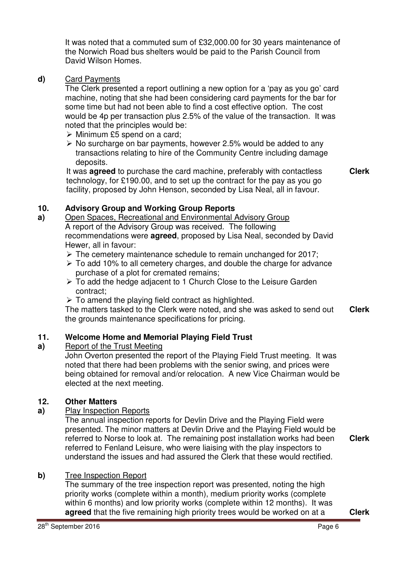It was noted that a commuted sum of £32,000.00 for 30 years maintenance of the Norwich Road bus shelters would be paid to the Parish Council from David Wilson Homes.

### **d)** Card Payments

The Clerk presented a report outlining a new option for a 'pay as you go' card machine, noting that she had been considering card payments for the bar for some time but had not been able to find a cost effective option. The cost would be 4p per transaction plus 2.5% of the value of the transaction. It was noted that the principles would be:

- $\triangleright$  Minimum £5 spend on a card;
- $\triangleright$  No surcharge on bar payments, however 2.5% would be added to any transactions relating to hire of the Community Centre including damage deposits.

It was **agreed** to purchase the card machine, preferably with contactless technology, for £190.00, and to set up the contract for the pay as you go facility, proposed by John Henson, seconded by Lisa Neal, all in favour. **Clerk**

#### **10. Advisory Group and Working Group Reports**

#### **a)**  Open Spaces, Recreational and Environmental Advisory Group A report of the Advisory Group was received. The following recommendations were **agreed**, proposed by Lisa Neal, seconded by David Hewer, all in favour:

- $\triangleright$  The cemetery maintenance schedule to remain unchanged for 2017;
- $\geq$  To add 10% to all cemetery charges, and double the charge for advance purchase of a plot for cremated remains;
- To add the hedge adjacent to 1 Church Close to the Leisure Garden contract;
- $\triangleright$  To amend the playing field contract as highlighted.

The matters tasked to the Clerk were noted, and she was asked to send out the grounds maintenance specifications for pricing. **Clerk**

#### **11. Welcome Home and Memorial Playing Field Trust**

#### **a)**  Report of the Trust Meeting

John Overton presented the report of the Playing Field Trust meeting. It was noted that there had been problems with the senior swing, and prices were being obtained for removal and/or relocation. A new Vice Chairman would be elected at the next meeting.

### **12. Other Matters**

**a)** Play Inspection Reports

**b)** Tree Inspection Report

The annual inspection reports for Devlin Drive and the Playing Field were presented. The minor matters at Devlin Drive and the Playing Field would be referred to Norse to look at. The remaining post installation works had been referred to Fenland Leisure, who were liaising with the play inspectors to understand the issues and had assured the Clerk that these would rectified.

**Clerk**

#### The summary of the tree inspection report was presented, noting the high priority works (complete within a month), medium priority works (complete within 6 months) and low priority works (complete within 12 months). It was **agreed** that the five remaining high priority trees would be worked on at a **Clerk**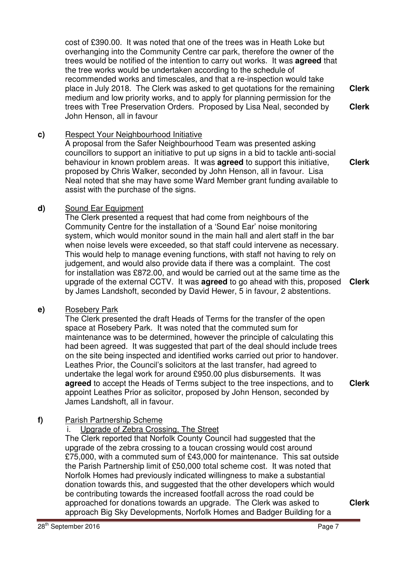cost of £390.00. It was noted that one of the trees was in Heath Loke but overhanging into the Community Centre car park, therefore the owner of the trees would be notified of the intention to carry out works. It was **agreed** that the tree works would be undertaken according to the schedule of recommended works and timescales, and that a re-inspection would take place in July 2018. The Clerk was asked to get quotations for the remaining medium and low priority works, and to apply for planning permission for the trees with Tree Preservation Orders. Proposed by Lisa Neal, seconded by John Henson, all in favour **Clerk Clerk**

# **c)** Respect Your Neighbourhood Initiative

A proposal from the Safer Neighbourhood Team was presented asking councillors to support an initiative to put up signs in a bid to tackle anti-social behaviour in known problem areas. It was **agreed** to support this initiative, proposed by Chris Walker, seconded by John Henson, all in favour. Lisa Neal noted that she may have some Ward Member grant funding available to assist with the purchase of the signs.

# **d)** Sound Ear Equipment

The Clerk presented a request that had come from neighbours of the Community Centre for the installation of a 'Sound Ear' noise monitoring system, which would monitor sound in the main hall and alert staff in the bar when noise levels were exceeded, so that staff could intervene as necessary. This would help to manage evening functions, with staff not having to rely on judgement, and would also provide data if there was a complaint. The cost for installation was £872.00, and would be carried out at the same time as the upgrade of the external CCTV. It was **agreed** to go ahead with this, proposed by James Landshoft, seconded by David Hewer, 5 in favour, 2 abstentions. **Clerk**

### **e)** Rosebery Park

The Clerk presented the draft Heads of Terms for the transfer of the open space at Rosebery Park. It was noted that the commuted sum for maintenance was to be determined, however the principle of calculating this had been agreed. It was suggested that part of the deal should include trees on the site being inspected and identified works carried out prior to handover. Leathes Prior, the Council's solicitors at the last transfer, had agreed to undertake the legal work for around £950.00 plus disbursements. It was **agreed** to accept the Heads of Terms subject to the tree inspections, and to appoint Leathes Prior as solicitor, proposed by John Henson, seconded by James Landshoft, all in favour.

# **f)** Parish Partnership Scheme

i. Upgrade of Zebra Crossing, The Street

The Clerk reported that Norfolk County Council had suggested that the upgrade of the zebra crossing to a toucan crossing would cost around £75,000, with a commuted sum of £43,000 for maintenance. This sat outside the Parish Partnership limit of £50,000 total scheme cost. It was noted that Norfolk Homes had previously indicated willingness to make a substantial donation towards this, and suggested that the other developers which would be contributing towards the increased footfall across the road could be approached for donations towards an upgrade. The Clerk was asked to approach Big Sky Developments, Norfolk Homes and Badger Building for a

**Clerk**

**Clerk**

**Clerk**